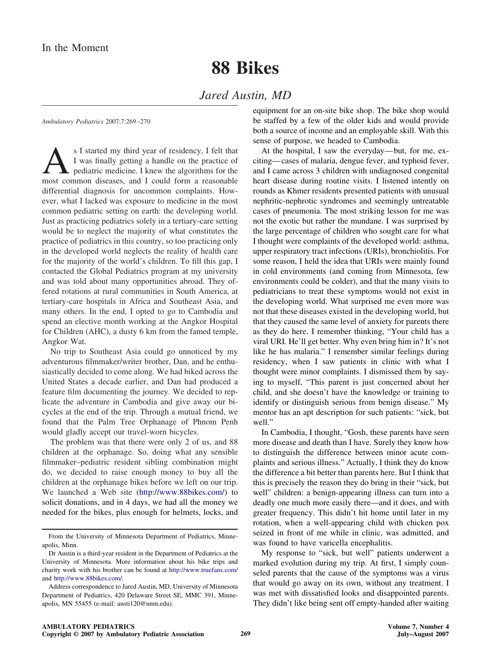## **88 Bikes**

## *Jared Austin, MD*

*Ambulatory Pediatrics* 2007;7:269–270

S I started my third year of residency, I felt that<br>I was finally getting a handle on the practice of<br>pediatric medicine. I knew the algorithms for the<br>most common diseases and I could form a reasonable I was finally getting a handle on the practice of pediatric medicine. I knew the algorithms for the most common diseases, and I could form a reasonable differential diagnosis for uncommon complaints. However, what I lacked was exposure to medicine in the most common pediatric setting on earth: the developing world. Just as practicing pediatrics solely in a tertiary-care setting would be to neglect the majority of what constitutes the practice of pediatrics in this country, so too practicing only in the developed world neglects the reality of health care for the majority of the world's children. To fill this gap, I contacted the Global Pediatrics program at my university and was told about many opportunities abroad. They offered rotations at rural communities in South America, at tertiary-care hospitals in Africa and Southeast Asia, and many others. In the end, I opted to go to Cambodia and spend an elective month working at the Angkor Hospital for Children (AHC), a dusty 6 km from the famed temple, Angkor Wat.

No trip to Southeast Asia could go unnoticed by my adventurous filmmaker/writer brother, Dan, and he enthusiastically decided to come along. We had biked across the United States a decade earlier, and Dan had produced a feature film documenting the journey. We decided to replicate the adventure in Cambodia and give away our bicycles at the end of the trip. Through a mutual friend, we found that the Palm Tree Orphanage of Phnom Penh would gladly accept our travel-worn bicycles.

The problem was that there were only 2 of us, and 88 children at the orphanage. So, doing what any sensible filmmaker–pediatric resident sibling combination might do, we decided to raise enough money to buy all the children at the orphanage bikes before we left on our trip. We launched a Web site [\(http://www.88bikes.com/\)](http://www.88bikes.com/) to solicit donations, and in 4 days, we had all the money we needed for the bikes, plus enough for helmets, locks, and

equipment for an on-site bike shop. The bike shop would be staffed by a few of the older kids and would provide both a source of income and an employable skill. With this sense of purpose, we headed to Cambodia.

At the hospital, I saw the everyday—but, for me, exciting—cases of malaria, dengue fever, and typhoid fever, and I came across 3 children with undiagnosed congenital heart disease during routine visits. I listened intently on rounds as Khmer residents presented patients with unusual nephritic-nephrotic syndromes and seemingly untreatable cases of pneumonia. The most striking lesson for me was not the exotic but rather the mundane. I was surprised by the large percentage of children who sought care for what I thought were complaints of the developed world: asthma, upper respiratory tract infections (URIs), bronchiolitis. For some reason, I held the idea that URIs were mainly found in cold environments (and coming from Minnesota, few environments could be colder), and that the many visits to pediatricians to treat these symptoms would not exist in the developing world. What surprised me even more was not that these diseases existed in the developing world, but that they caused the same level of anxiety for parents there as they do here. I remember thinking, "Your child has a viral URI. He'll get better. Why even bring him in? It's not like he has malaria." I remember similar feelings during residency, when I saw patients in clinic with what I thought were minor complaints. I dismissed them by saying to myself, "This parent is just concerned about her child, and she doesn't have the knowledge or training to identify or distinguish serious from benign disease." My mentor has an apt description for such patients: "sick, but well."

In Cambodia, I thought, "Gosh, these parents have seen more disease and death than I have. Surely they know how to distinguish the difference between minor acute complaints and serious illness." Actually, I think they do know the difference a bit better than parents here. But I think that this is precisely the reason they do bring in their "sick, but well" children: a benign-appearing illness can turn into a deadly one much more easily there—and it does, and with greater frequency. This didn't hit home until later in my rotation, when a well-appearing child with chicken pox seized in front of me while in clinic, was admitted, and was found to have varicella encephalitis.

My response to "sick, but well" patients underwent a marked evolution during my trip. At first, I simply counseled parents that the cause of the symptoms was a virus that would go away on its own, without any treatment. I was met with dissatisfied looks and disappointed parents. They didn't like being sent off empty-handed after waiting

From the University of Minnesota Department of Pediatrics, Minneapolis, Minn.

Dr Austin is a third-year resident in the Department of Pediatrics at the University of Minnesota. More information about his bike trips and charity work with his brother can be found at <http://www.truefans.com/> and [http://www.88bikes.com/.](http://www.88bikes.com/)

Address correspondence to Jared Austin, MD, University of Minnesota Department of Pediatrics, 420 Delaware Street SE, MMC 391, Minneapolis, MN 55455 (e-mail: austi120@umn.edu).